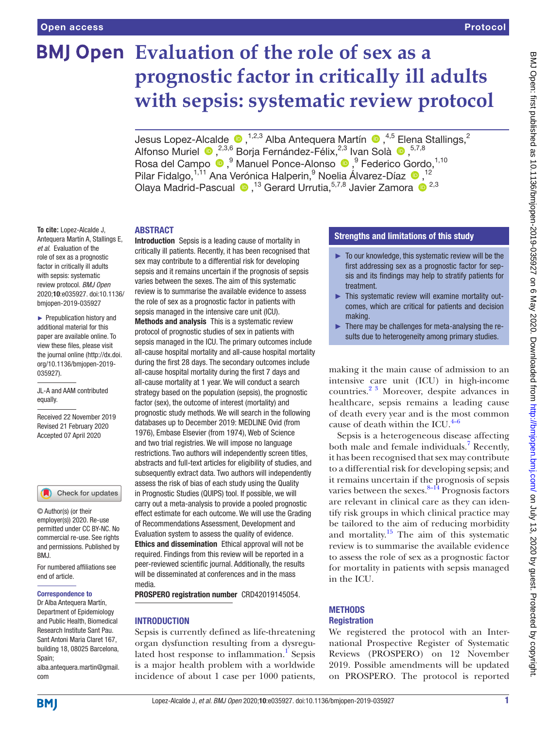# **BMJ Open** Evaluation of the role of sex as a **prognostic factor in critically ill adults with sepsis: systematic review protocol**

JesusLopez-Alcalde  $\bullet$  ,<sup>1,2,3</sup> Alba Antequera Martín  $\bullet$  ,<sup>4,5</sup> Elena Stallings,<sup>2</sup> AlfonsoMuriel <sup>® 2,3,6</sup> Borja Fernández-Félix,<sup>2,3</sup> Ivan Solà ®,<sup>5,7,8</sup> Rosadel Campo <sup>®</sup>, <sup>9</sup> Manuel Ponce-Alonso <sup>®</sup>, <sup>9</sup> Federico Gordo, <sup>1,10</sup> Pilar Fidalgo,<sup>1,11</sup> Ana Verónica Halperin,<sup>9</sup> Noelia Álvarez-Díaz <sup>12</sup>,<sup>12</sup> Olaya Madrid-Pascual  $\bullet$ ,<sup>13</sup> Gerard Urrutia,<sup>5,7,8</sup> Javier Zamora  $\bullet$ <sup>2,3</sup>

#### **ABSTRACT**

**To cite:** Lopez-Alcalde J, Antequera Martín A, Stallings E, *et al*. Evaluation of the role of sex as a prognostic factor in critically ill adults with sepsis: systematic review protocol. *BMJ Open* 2020;10:e035927. doi:10.1136/ bmjopen-2019-035927

► Prepublication history and additional material for this paper are available online. To view these files, please visit the journal online (http://dx.doi. org/10.1136/bmjopen-2019- 035927).

JL-A and AAM contributed equally.

Received 22 November 2019 Revised 21 February 2020 Accepted 07 April 2020

Check for updates

© Author(s) (or their employer(s)) 2020. Re-use permitted under CC BY-NC. No commercial re-use. See rights and permissions. Published by BMJ.

For numbered affiliations see end of article.

#### Correspondence to

Dr Alba Antequera Martín, Department of Epidemiology and Public Health, Biomedical Research Institute Sant Pau. Sant Antoni Maria Claret 167, building 18, 08025 Barcelona, Spain;

alba.antequera.martin@gmail. com

Introduction Sepsis is a leading cause of mortality in critically ill patients. Recently, it has been recognised that sex may contribute to a differential risk for developing sepsis and it remains uncertain if the prognosis of sepsis varies between the sexes. The aim of this systematic review is to summarise the available evidence to assess the role of sex as a prognostic factor in patients with sepsis managed in the intensive care unit (ICU).

Methods and analysis This is a systematic review protocol of prognostic studies of sex in patients with sepsis managed in the ICU. The primary outcomes include all-cause hospital mortality and all-cause hospital mortality during the first 28 days. The secondary outcomes include all-cause hospital mortality during the first 7 days and all-cause mortality at 1 year. We will conduct a search strategy based on the population (sepsis), the prognostic factor (sex), the outcome of interest (mortality) and prognostic study methods. We will search in the following databases up to December 2019: MEDLINE Ovid (from 1976), Embase Elsevier (from 1974), Web of Science and two trial registries. We will impose no language restrictions. Two authors will independently screen titles, abstracts and full-text articles for eligibility of studies, and subsequently extract data. Two authors will independently assess the risk of bias of each study using the Quality in Prognostic Studies (QUIPS) tool. If possible, we will carry out a meta-analysis to provide a pooled prognostic effect estimate for each outcome. We will use the Grading of Recommendations Assessment, Development and Evaluation system to assess the quality of evidence. Ethics and dissemination Ethical approval will not be required. Findings from this review will be reported in a peer-reviewed scientific journal. Additionally, the results will be disseminated at conferences and in the mass media.

PROSPERO registration number CRD42019145054.

#### **INTRODUCTION**

Sepsis is currently defined as life-threatening organ dysfunction resulting from a dysregulated host response to inflammation.<sup>1</sup> Sepsis is a major health problem with a worldwide incidence of about 1 case per 1000 patients,

#### Strengths and limitations of this study

- ► To our knowledge, this systematic review will be the first addressing sex as a prognostic factor for sepsis and its findings may help to stratify patients for treatment.
- ► This systematic review will examine mortality outcomes, which are critical for patients and decision making.
- ► There may be challenges for meta-analysing the results due to heterogeneity among primary studies.

making it the main cause of admission to an intensive care unit (ICU) in high-income countries.[2 3](#page-4-1) Moreover, despite advances in healthcare, sepsis remains a leading cause of death every year and is the most common cause of death within the ICU. $4-6$ 

Sepsis is a heterogeneous disease affecting both male and female individuals.<sup>[7](#page-4-3)</sup> Recently, it has been recognised that sex may contribute to a differential risk for developing sepsis; and it remains uncertain if the prognosis of sepsis varies between the sexes.  $8-14$  Prognosis factors are relevant in clinical care as they can identify risk groups in which clinical practice may be tailored to the aim of reducing morbidity and mortality.<sup>15</sup> The aim of this systematic review is to summarise the available evidence to assess the role of sex as a prognostic factor for mortality in patients with sepsis managed in the ICU.

## **METHODS Registration**

We registered the protocol with an International Prospective Register of Systematic Reviews (PROSPERO) on 12 November 2019. Possible amendments will be updated on PROSPERO. The protocol is reported

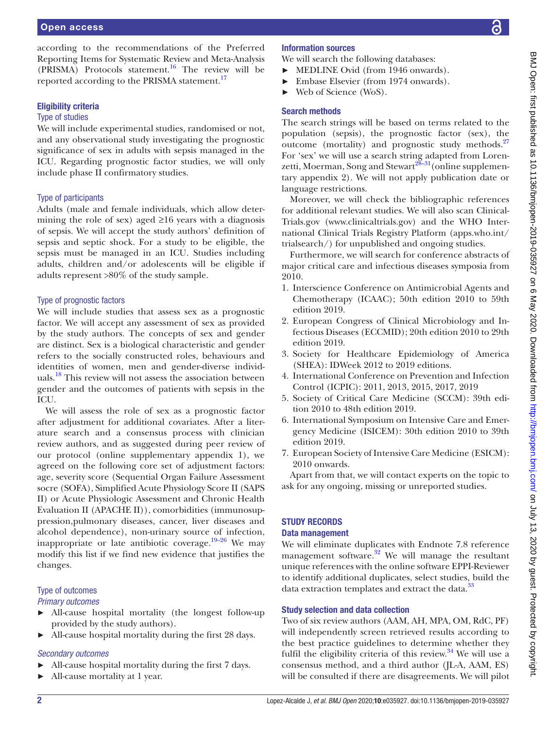Eligibility criteria Type of studies

Type of participants

Type of prognostic factors

We will include experimental studies, randomised or not, and any observational study investigating the prognostic significance of sex in adults with sepsis managed in the ICU. Regarding prognostic factor studies, we will only include phase II confirmatory studies. Adults (male and female individuals, which allow determining the role of sex) aged  $\geq 16$  years with a diagnosis of sepsis. We will accept the study authors' definition of sepsis and septic shock. For a study to be eligible, the sepsis must be managed in an ICU. Studies including adults, children and/or adolescents will be eligible if adults represent >80% of the study sample. We will include studies that assess sex as a prognostic factor. We will accept any assessment of sex as provided Search methods 2010.

by the study authors. The concepts of sex and gender are distinct. Sex is a biological characteristic and gender refers to the socially constructed roles, behaviours and identities of women, men and gender-diverse individuals[.18](#page-4-8) This review will not assess the association between gender and the outcomes of patients with sepsis in the ICU.

according to the recommendations of the Preferred Reporting Items for Systematic Review and Meta-Analysis  $(\overrightarrow{PRISMA})$  Protocols statement.<sup>16</sup> The review will be

reported according to the PRISMA statement.<sup>17</sup>

We will assess the role of sex as a prognostic factor after adjustment for additional covariates. After a literature search and a consensus process with clinician review authors, and as suggested during peer review of our protocol ([online supplementary appendix 1](https://dx.doi.org/10.1136/bmjopen-2019-035927)), we agreed on the following core set of adjustment factors: age, severity score (Sequential Organ Failure Assessment socre (SOFA), Simplified Acute Physiology Score II (SAPS II) or Acute Physiologic Assessment and Chronic Health Evaluation II (APACHE II)), comorbidities (immunosuppression,pulmonary diseases, cancer, liver diseases and alcohol dependence), non-urinary source of infection, inappropriate or late antibiotic coverage.<sup>19–26</sup> We may modify this list if we find new evidence that justifies the changes.

### Type of outcomes *Primary outcomes*

- ► All-cause hospital mortality (the longest follow-up provided by the study authors).
- ► All-cause hospital mortality during the first 28 days.

# *Secondary outcomes*

- ► All-cause hospital mortality during the first 7 days.
- ► All-cause mortality at 1 year.

# Information sources

- We will search the following databases:
- ► MEDLINE Ovid (from 1946 onwards).
- ► Embase Elsevier (from 1974 onwards).
- ► Web of Science (WoS).

The search strings will be based on terms related to the population (sepsis), the prognostic factor (sex), the outcome (mortality) and prognostic study methods.<sup>[27](#page-4-10)</sup> For 'sex' we will use a search string adapted from Lorenzetti, Moerman, Song and Stewart<sup>28–31</sup> ([online supplemen](https://dx.doi.org/10.1136/bmjopen-2019-035927)[tary appendix 2](https://dx.doi.org/10.1136/bmjopen-2019-035927)). We will not apply publication date or language restrictions.

Moreover, we will check the bibliographic references for additional relevant studies. We will also scan Clinical-Trials.gov (<www.clinicaltrials.gov>) and the WHO International Clinical Trials Registry Platform (apps.who.int/ trialsearch/) for unpublished and ongoing studies.

Furthermore, we will search for conference abstracts of major critical care and infectious diseases symposia from

- 1. Interscience Conference on Antimicrobial Agents and Chemotherapy (ICAAC); 50th edition 2010 to 59th edition 2019.
- 2. European Congress of Clinical Microbiology and Infectious Diseases (ECCMID); 20th edition 2010 to 29th edition 2019.
- 3. Society for Healthcare Epidemiology of America (SHEA): IDWeek 2012 to 2019 editions.
- 4. International Conference on Prevention and Infection Control (ICPIC): 2011, 2013, 2015, 2017, 2019
- 5. Society of Critical Care Medicine (SCCM): 39th edition 2010 to 48th edition 2019.
- 6. International Symposium on Intensive Care and Emergency Medicine (ISICEM): 30th edition 2010 to 39th edition 2019.
- 7. European Society of Intensive Care Medicine (ESICM): 2010 onwards.

Apart from that, we will contact experts on the topic to ask for any ongoing, missing or unreported studies.

# Study records

# Data management

We will eliminate duplicates with Endnote 7.8 reference management software. $32$  We will manage the resultant unique references with the online software EPPI-Reviewer to identify additional duplicates, select studies, build the data extraction templates and extract the data.<sup>33</sup>

# Study selection and data collection

Two of six review authors (AAM, AH, MPA, OM, RdC, PF) will independently screen retrieved results according to the best practice guidelines to determine whether they fulfil the eligibility criteria of this review. $34$  We will use a consensus method, and a third author (JL-A, AAM, ES) will be consulted if there are disagreements. We will pilot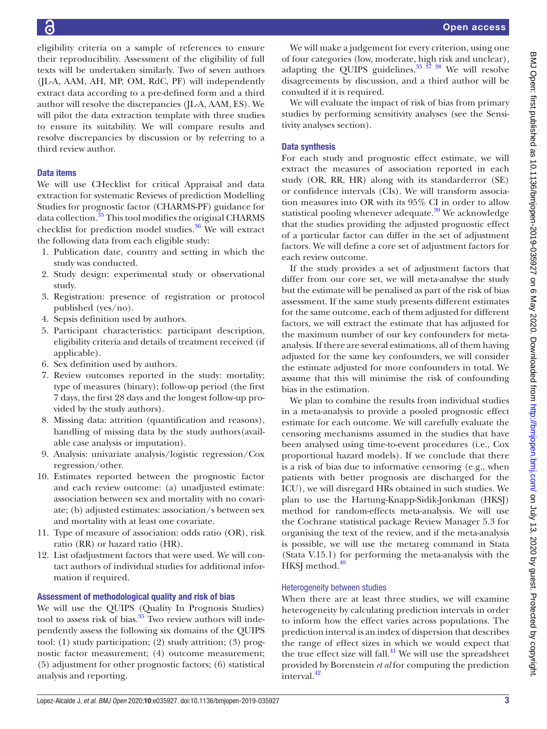eligibility criteria on a sample of references to ensure their reproducibility. Assessment of the eligibility of full texts will be undertaken similarly. Two of seven authors (JL-A, AAM, AH, MP, OM, RdC, PF) will independently extract data according to a pre-defined form and a third author will resolve the discrepancies (JL-A, AAM, ES). We will pilot the data extraction template with three studies to ensure its suitability. We will compare results and resolve discrepancies by discussion or by referring to a third review author.

### Data items

We will use CHecklist for critical Appraisal and data extraction for systematic Reviews of prediction Modelling Studies for prognostic factor (CHARMS-PF) guidance for data collection.<sup>[35](#page-4-15)</sup> This tool modifies the original CHARMS checklist for prediction model studies. $36$  We will extract the following data from each eligible study:

- 1. Publication date, country and setting in which the study was conducted.
- 2. Study design: experimental study or observational study.
- 3. Registration: presence of registration or protocol published (yes/no).
- 4. Sepsis definition used by authors.
- 5. Participant characteristics: participant description, eligibility criteria and details of treatment received (if applicable).
- 6. Sex definition used by authors.
- 7. Review outcomes reported in the study: mortality; type of measures (binary); follow-up period (the first 7 days, the first 28 days and the longest follow-up provided by the study authors).
- 8. Missing data: attrition (quantification and reasons), handling of missing data by the study authors(available case analysis or imputation).
- 9. Analysis: univariate analysis/logistic regression/Cox regression/other.
- 10. Estimates reported between the prognostic factor and each review outcome: (a) unadjusted estimate: association between sex and mortality with no covariate; (b) adjusted estimates: association/s between sex and mortality with at least one covariate.
- 11. Type of measure of association: odds ratio (OR), risk ratio (RR) or hazard ratio (HR).
- 12. List ofadjustment factors that were used. We will contact authors of individual studies for additional information if required.

#### Assessment of methodological quality and risk of bias

We will use the QUIPS (Quality In Prognosis Studies) tool to assess risk of bias. $35$  Two review authors will independently assess the following six domains of the QUIPS tool: (1) study participation; (2) study attrition; (3) prognostic factor measurement; (4) outcome measurement; (5) adjustment for other prognostic factors; (6) statistical analysis and reporting.

We will make a judgement for every criterion, using one of four categories (low, moderate, high risk and unclear), adapting the QUIPS guidelines.<sup>35 37</sup> <sup>38</sup> We will resolve disagreements by discussion, and a third author will be consulted if it is required.

We will evaluate the impact of risk of bias from primary studies by performing sensitivity analyses (see the Sensitivity analyses section).

#### Data synthesis

For each study and prognostic effect estimate, we will extract the measures of association reported in each study (OR, RR, HR) along with its standarderror (SE) or confidence intervals (CIs). We will transform association measures into OR with its 95% CI in order to allow statistical pooling whenever adequate. $39$  We acknowledge that the studies providing the adjusted prognostic effect of a particular factor can differ in the set of adjustment factors. We will define a core set of adjustment factors for each review outcome.

If the study provides a set of adjustment factors that differ from our core set, we will meta-analyse the study but the estimate will be penalised as part of the risk of bias assessment. If the same study presents different estimates for the same outcome, each of them adjusted for different factors, we will extract the estimate that has adjusted for the maximum number of our key confounders for metaanalysis. If there are several estimations, all of them having adjusted for the same key confounders, we will consider the estimate adjusted for more confounders in total. We assume that this will minimise the risk of confounding bias in the estimation.

We plan to combine the results from individual studies in a meta-analysis to provide a pooled prognostic effect estimate for each outcome. We will carefully evaluate the censoring mechanisms assumed in the studies that have been analysed using time-to-event procedures (i.e., Cox proportional hazard models). If we conclude that there is a risk of bias due to informative censoring (e.g., when patients with better prognosis are discharged for the ICU), we will disregard HRs obtained in such studies. We plan to use the Hartung-Knapp-Sidik-Jonkman (HKSJ) method for random-effects meta-analysis. We will use the Cochrane statistical package Review Manager 5.3 for organising the text of the review, and if the meta-analysis is possible, we will use the metareg command in Stata (Stata V.15.1) for performing the meta-analysis with the  $HKSJ$  method.<sup>[40](#page-4-18)</sup>

#### Heterogeneity between studies

When there are at least three studies, we will examine heterogeneity by calculating prediction intervals in order to inform how the effect varies across populations. The prediction interval is an index of dispersion that describes the range of effect sizes in which we would expect that the true effect size will fall. $^{41}$  $^{41}$  $^{41}$  We will use the spreadsheet provided by Borenstein *et al* for computing the prediction interval.<sup>[42](#page-4-20)</sup>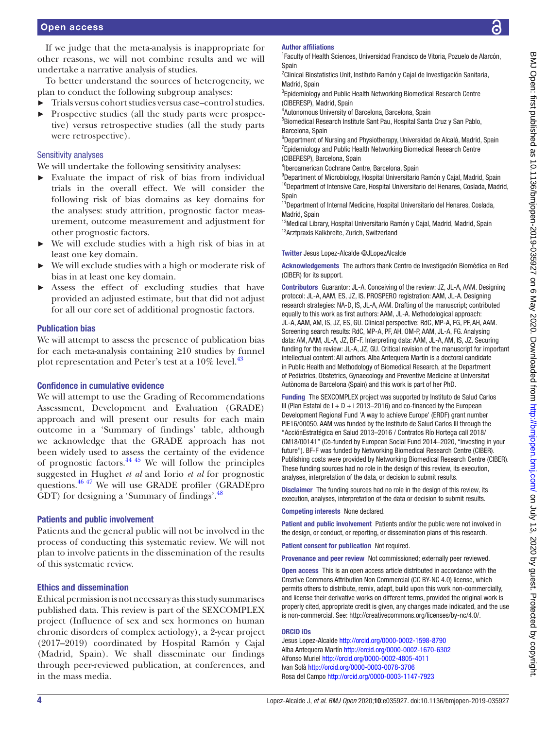If we judge that the meta-analysis is inappropriate for other reasons, we will not combine results and we will undertake a narrative analysis of studies.

To better understand the sources of heterogeneity, we plan to conduct the following subgroup analyses:

- ► Trials versus cohort studies versus case–control studies.
- ► Prospective studies (all the study parts were prospective) versus retrospective studies (all the study parts were retrospective).

#### Sensitivity analyses

We will undertake the following sensitivity analyses:

- ► Evaluate the impact of risk of bias from individual trials in the overall effect. We will consider the following risk of bias domains as key domains for the analyses: study attrition, prognostic factor measurement, outcome measurement and adjustment for other prognostic factors.
- ► We will exclude studies with a high risk of bias in at least one key domain.
- ► We will exclude studies with a high or moderate risk of bias in at least one key domain.
- Assess the effect of excluding studies that have provided an adjusted estimate, but that did not adjust for all our core set of additional prognostic factors.

#### Publication bias

We will attempt to assess the presence of publication bias for each meta-analysis containing ≥10 studies by funnel plot representation and Peter's test at a  $10\%$  level.<sup>43</sup>

#### Confidence in cumulative evidence

We will attempt to use the Grading of Recommendations Assessment, Development and Evaluation (GRADE) approach and will present our results for each main outcome in a 'Summary of findings' table, although we acknowledge that the GRADE approach has not been widely used to assess the certainty of the evidence of prognostic factors. $44 \frac{45}{10}$  We will follow the principles suggested in Hughet *et al* and Iorio *et al* for prognostic questions.<sup>46 47</sup> We will use GRADE profiler (GRADEpro GDT) for designing a 'Summary of findings'.<sup>[48](#page-4-24)</sup>

#### Patients and public involvement

Patients and the general public will not be involved in the process of conducting this systematic review. We will not plan to involve patients in the dissemination of the results of this systematic review.

#### Ethics and dissemination

Ethical permission is not necessary as this study summarises published data. This review is part of the SEXCOMPLEX project (Influence of sex and sex hormones on human chronic disorders of complex aetiology), a 2-year project (2017–2019) coordinated by Hospital Ramón y Cajal (Madrid, Spain). We shall disseminate our findings through peer-reviewed publication, at conferences, and in the mass media.

#### Author affiliations

<sup>2</sup> Clinical Biostatistics Unit, Instituto Ramón y Cajal de Investigación Sanitaria, Madrid, Spain

<sup>3</sup>Epidemiology and Public Health Networking Biomedical Research Centre (CIBERESP), Madrid, Spain

4 Autonomous University of Barcelona, Barcelona, Spain

5 Biomedical Research Institute Sant Pau, Hospital Santa Cruz y San Pablo, Barcelona, Spain

<sup>6</sup>Department of Nursing and Physiotherapy, Universidad de Alcalá, Madrid, Spain <sup>7</sup> Epidemiology and Public Health Networking Biomedical Research Centre (CIBERESP), Barcelona, Spain

8 Iberoamerican Cochrane Centre, Barcelona, Spain

<sup>9</sup>Department of Microbiology, Hospital Universitario Ramón y Cajal, Madrid, Spain <sup>10</sup>Department of Intensive Care, Hospital Universitario del Henares, Coslada, Madrid, Spain

<sup>11</sup>Department of Internal Medicine, Hospital Universitario del Henares, Coslada, Madrid, Spain

<sup>12</sup>Medical Library, Hospital Universitario Ramón y Cajal, Madrid, Madrid, Spain <sup>13</sup> Arztpraxis Kalkbreite, Zurich, Switzerland

#### Twitter Jesus Lopez-Alcalde [@JLopezAlcalde](https://twitter.com/JLopezAlcalde)

Acknowledgements The authors thank Centro de Investigación Biomédica en Red (CIBER) for its support.

Contributors Guarantor: JL-A. Conceiving of the review: JZ, JL-A, AAM. Designing protocol: JL-A, AAM, ES, JZ, IS. PROSPERO registration: AAM, JL-A. Designing research strategies: NA-D, IS, JL-A, AAM. Drafting of the manuscript; contributed equally to this work as first authors: AAM, JL-A. Methodological approach: JL-A, AAM, AM, IS, JZ, ES, GU. Clinical perspective: RdC, MP-A, FG, PF, AH, AAM. Screening search results: RdC, MP-A, PF, AH, OM-P, AAM, JL-A, FG. Analysing data: AM, AAM, JL-A, JZ, BF-F. Interpreting data: AAM, JL-A, AM, IS, JZ. Securing funding for the review: JL-A, JZ, GU. Critical revision of the manuscript for important intellectual content: All authors. Alba Antequera Martín is a doctoral candidate in Public Health and Methodology of Biomedical Research, at the Department of Pediatrics, Obstetrics, Gynaecology and Preventive Medicine at Universitat Autònoma de Barcelona (Spain) and this work is part of her PhD.

Funding The SEXCOMPLEX project was supported by Instituto de Salud Carlos III (Plan Estatal de  $I + D + i 2013-2016$ ) and co-financed by the European Development Regional Fund 'A way to achieve Europe' (ERDF) grant number PIE16/00050. AAM was funded by the Instituto de Salud Carlos III through the "AcciónEstratégica en Salud 2013–2016 / Contratos Río Hortega call 2018/ CM18/00141" (Co-funded by European Social Fund 2014–2020, "Investing in your future"). BF-F was funded by Networking Biomedical Research Centre (CIBER). Publishing costs were provided by Networking Biomedical Research Centre (CIBER). These funding sources had no role in the design of this review, its execution, analyses, interpretation of the data, or decision to submit results.

Disclaimer The funding sources had no role in the design of this review, its execution, analyses, interpretation of the data or decision to submit results.

Competing interests None declared.

Patient and public involvement Patients and/or the public were not involved in the design, or conduct, or reporting, or dissemination plans of this research.

Patient consent for publication Not required.

Provenance and peer review Not commissioned; externally peer reviewed.

Open access This is an open access article distributed in accordance with the Creative Commons Attribution Non Commercial (CC BY-NC 4.0) license, which permits others to distribute, remix, adapt, build upon this work non-commercially, and license their derivative works on different terms, provided the original work is properly cited, appropriate credit is given, any changes made indicated, and the use is non-commercial. See: [http://creativecommons.org/licenses/by-nc/4.0/.](http://creativecommons.org/licenses/by-nc/4.0/)

#### ORCID iDs

Jesus Lopez-Alcalde <http://orcid.org/0000-0002-1598-8790> Alba Antequera Martín <http://orcid.org/0000-0002-1670-6302> Alfonso Muriel<http://orcid.org/0000-0002-4805-4011> Ivan Solà <http://orcid.org/0000-0003-0078-3706> Rosa del Campo <http://orcid.org/0000-0003-1147-7923>